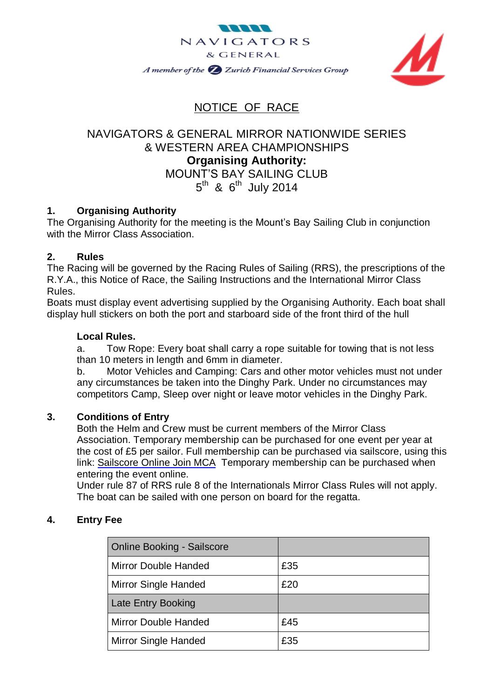



NOTICE OF RACE

# NAVIGATORS & GENERAL MIRROR NATIONWIDE SERIES & WESTERN AREA CHAMPIONSHIPS **Organising Authority:** MOUNT'S BAY SAILING CLUB  $5^{\text{th}}$  &  $6^{\text{th}}$  July 2014

## **1. Organising Authority**

The Organising Authority for the meeting is the Mount's Bay Sailing Club in conjunction with the Mirror Class Association.

## **2. Rules**

The Racing will be governed by the Racing Rules of Sailing (RRS), the prescriptions of the R.Y.A., this Notice of Race, the Sailing Instructions and the International Mirror Class Rules.

Boats must display event advertising supplied by the Organising Authority. Each boat shall display hull stickers on both the port and starboard side of the front third of the hull

## **Local Rules.**

a. Tow Rope: Every boat shall carry a rope suitable for towing that is not less than 10 meters in length and 6mm in diameter.

b. Motor Vehicles and Camping: Cars and other motor vehicles must not under any circumstances be taken into the Dinghy Park. Under no circumstances may competitors Camp, Sleep over night or leave motor vehicles in the Dinghy Park.

# **3. Conditions of Entry**

Both the Helm and Crew must be current members of the Mirror Class Association. Temporary membership can be purchased for one event per year at the cost of £5 per sailor. Full membership can be purchased via sailscore, using this link: [Sailscore](http://sailscore.apphb.com/mca/join.aspx) Online Join MCA Temporary membership can be purchased when entering the event online.

Under rule 87 of RRS rule 8 of the Internationals Mirror Class Rules will not apply. The boat can be sailed with one person on board for the regatta.

# **4. Entry Fee**

| <b>Online Booking - Sailscore</b> |     |
|-----------------------------------|-----|
| <b>Mirror Double Handed</b>       | £35 |
| <b>Mirror Single Handed</b>       | £20 |
| Late Entry Booking                |     |
| <b>Mirror Double Handed</b>       | £45 |
| <b>Mirror Single Handed</b>       | £35 |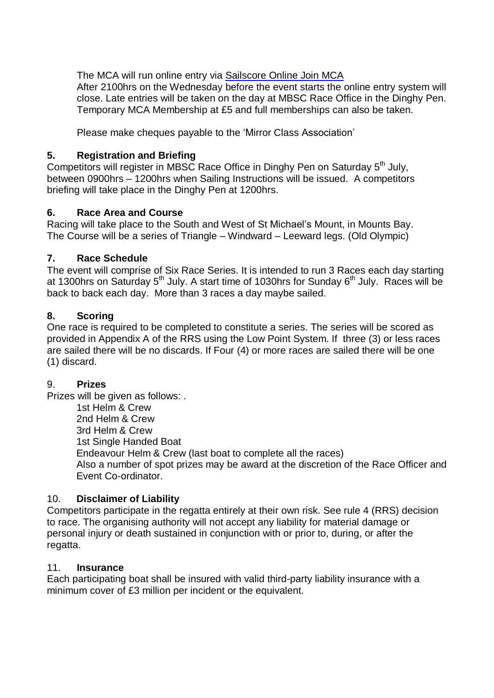The MCA will run online entry via [Sailscore](http://sailscore.apphb.com/mca/join.aspx) Online Join MCA

After 2100hrs on the Wednesday before the event starts the online entry system will close. Late entries will be taken on the day at MBSC Race Office in the Dinghy Pen. Temporary MCA Membership at £5 and full memberships can also be taken.

Please make cheques payable to the 'Mirror Class Association'

## **5. Registration and Briefing**

Competitors will register in MBSC Race Office in Dinghy Pen on Saturday 5<sup>th</sup> July, between 0900hrs – 1200hrs when Sailing Instructions will be issued. A competitors briefing will take place in the Dinghy Pen at 1200hrs.

## **6. Race Area and Course**

Racing will take place to the South and West of St Michael's Mount, in Mounts Bay. The Course will be a series of Triangle – Windward – Leeward legs. (Old Olympic)

#### **7. Race Schedule**

The event will comprise of Six Race Series. It is intended to run 3 Races each day starting at 1300hrs on Saturday 5<sup>th</sup> July. A start time of 1030hrs for Sunday 6<sup>th</sup> July. Races will be back to back each day. More than 3 races a day maybe sailed.

#### **8. Scoring**

One race is required to be completed to constitute a series. The series will be scored as provided in Appendix A of the RRS using the Low Point System. If three (3) or less races are sailed there will be no discards. If Four (4) or more races are sailed there will be one (1) discard.

#### 9. **Prizes**

Prizes will be given as follows: . 1st Helm & Crew 2nd Helm & Crew 3rd Helm & Crew 1st Single Handed Boat Endeavour Helm & Crew (last boat to complete all the races) Also a number of spot prizes may be award at the discretion of the Race Officer and Event Co-ordinator.

## 10. **Disclaimer of Liability**

Competitors participate in the regatta entirely at their own risk. See rule 4 (RRS) decision to race. The organising authority will not accept any liability for material damage or personal injury or death sustained in conjunction with or prior to, during, or after the regatta.

#### 11. **Insurance**

Each participating boat shall be insured with valid third-party liability insurance with a minimum cover of £3 million per incident or the equivalent.